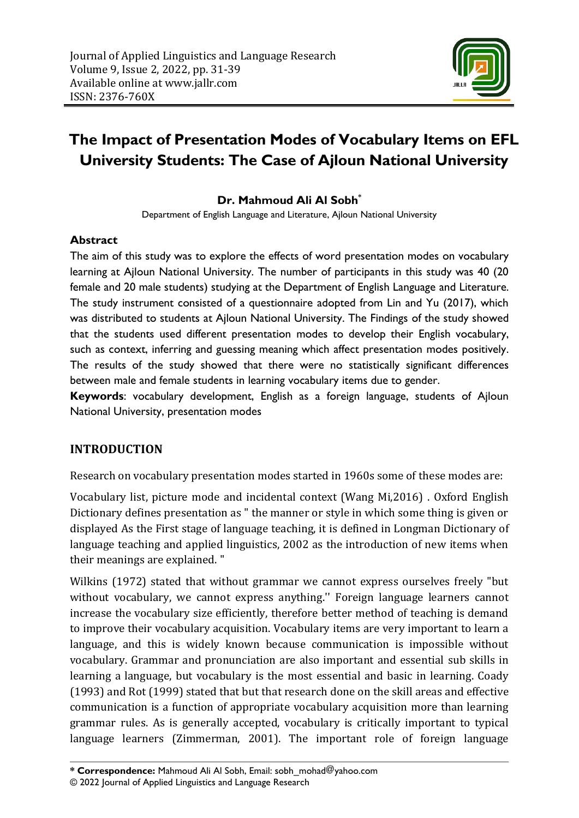

# **The Impact of Presentation Modes of Vocabulary Items on EFL University Students: The Case of Ajloun National University**

### **Dr. Mahmoud Ali Al Sobh\***

Department of English Language and Literature, Ajloun National University

#### **Abstract**

The aim of this study was to explore the effects of word presentation modes on vocabulary learning at Ajloun National University. The number of participants in this study was 40 (20 female and 20 male students) studying at the Department of English Language and Literature. The study instrument consisted of a questionnaire adopted from Lin and Yu (2017), which was distributed to students at Ajloun National University. The Findings of the study showed that the students used different presentation modes to develop their English vocabulary, such as context, inferring and guessing meaning which affect presentation modes positively. The results of the study showed that there were no statistically significant differences between male and female students in learning vocabulary items due to gender.

**Keywords**: vocabulary development, English as a foreign language, students of Ajloun National University, presentation modes

#### **INTRODUCTION**

Research on vocabulary presentation modes started in 1960s some of these modes are:

Vocabulary list, picture mode and incidental context (Wang Mi,2016) . Oxford English Dictionary defines presentation as " the manner or style in which some thing is given or displayed As the First stage of language teaching, it is defined in Longman Dictionary of language teaching and applied linguistics, 2002 as the introduction of new items when their meanings are explained. "

Wilkins (1972) stated that without grammar we cannot express ourselves freely "but without vocabulary, we cannot express anything.'' Foreign language learners cannot increase the vocabulary size efficiently, therefore better method of teaching is demand to improve their vocabulary acquisition. Vocabulary items are very important to learn a language, and this is widely known because communication is impossible without vocabulary. Grammar and pronunciation are also important and essential sub skills in learning a language, but vocabulary is the most essential and basic in learning. Coady (1993) and Rot (1999) stated that but that research done on the skill areas and effective communication is a function of appropriate vocabulary acquisition more than learning grammar rules. As is generally accepted, vocabulary is critically important to typical language learners (Zimmerman, 2001). The important role of foreign language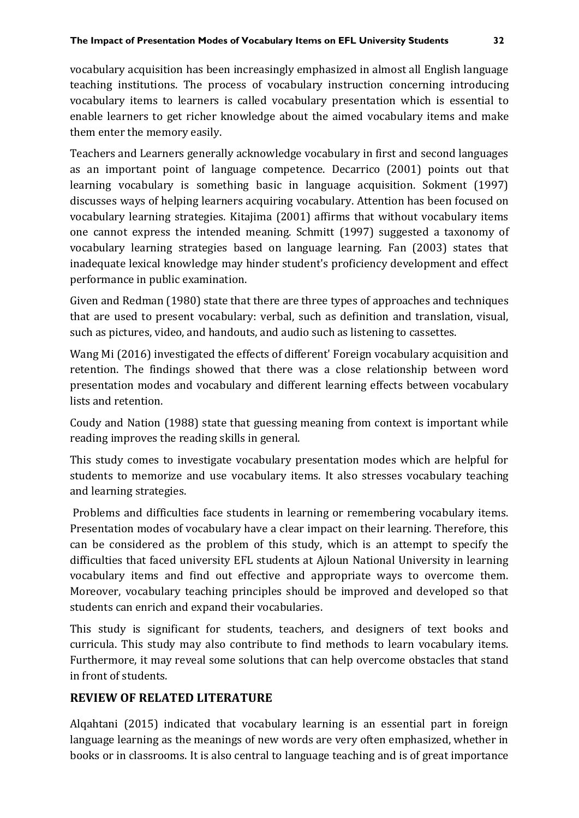vocabulary acquisition has been increasingly emphasized in almost all English language teaching institutions. The process of vocabulary instruction concerning introducing vocabulary items to learners is called vocabulary presentation which is essential to enable learners to get richer knowledge about the aimed vocabulary items and make them enter the memory easily.

Teachers and Learners generally acknowledge vocabulary in first and second languages as an important point of language competence. Decarrico (2001) points out that learning vocabulary is something basic in language acquisition. Sokment (1997) discusses ways of helping learners acquiring vocabulary. Attention has been focused on vocabulary learning strategies. Kitajima (2001) affirms that without vocabulary items one cannot express the intended meaning. Schmitt (1997) suggested a taxonomy of vocabulary learning strategies based on language learning. Fan (2003) states that inadequate lexical knowledge may hinder student's proficiency development and effect performance in public examination.

Given and Redman (1980) state that there are three types of approaches and techniques that are used to present vocabulary: verbal, such as definition and translation, visual, such as pictures, video, and handouts, and audio such as listening to cassettes.

Wang Mi (2016) investigated the effects of different' Foreign vocabulary acquisition and retention. The findings showed that there was a close relationship between word presentation modes and vocabulary and different learning effects between vocabulary lists and retention.

Coudy and Nation (1988) state that guessing meaning from context is important while reading improves the reading skills in general.

This study comes to investigate vocabulary presentation modes which are helpful for students to memorize and use vocabulary items. It also stresses vocabulary teaching and learning strategies.

Problems and difficulties face students in learning or remembering vocabulary items. Presentation modes of vocabulary have a clear impact on their learning. Therefore, this can be considered as the problem of this study, which is an attempt to specify the difficulties that faced university EFL students at Ajloun National University in learning vocabulary items and find out effective and appropriate ways to overcome them. Moreover, vocabulary teaching principles should be improved and developed so that students can enrich and expand their vocabularies.

This study is significant for students, teachers, and designers of text books and curricula. This study may also contribute to find methods to learn vocabulary items. Furthermore, it may reveal some solutions that can help overcome obstacles that stand in front of students.

#### **REVIEW OF RELATED LITERATURE**

Alqahtani (2015) indicated that vocabulary learning is an essential part in foreign language learning as the meanings of new words are very often emphasized, whether in books or in classrooms. It is also central to language teaching and is of great importance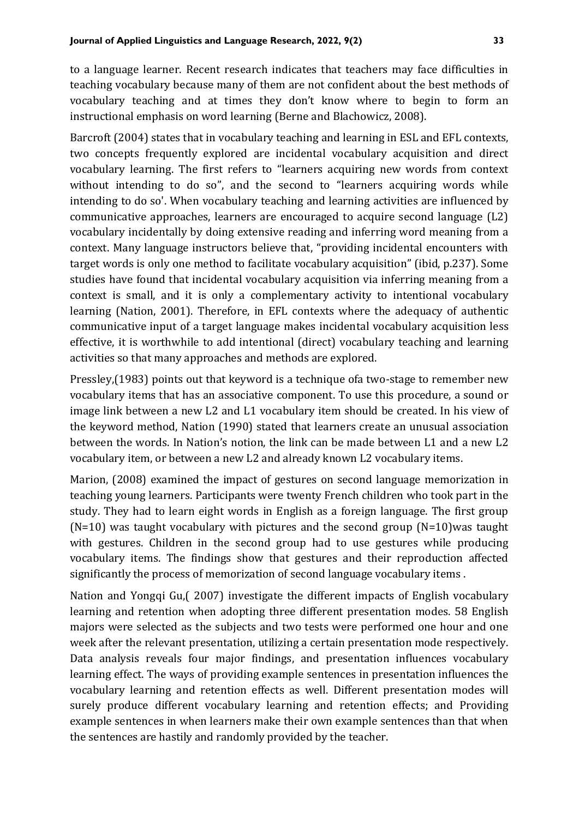to a language learner. Recent research indicates that teachers may face difficulties in teaching vocabulary because many of them are not confident about the best methods of vocabulary teaching and at times they don't know where to begin to form an instructional emphasis on word learning (Berne and Blachowicz, 2008).

Barcroft (2004) states that in vocabulary teaching and learning in ESL and EFL contexts, two concepts frequently explored are incidental vocabulary acquisition and direct vocabulary learning. The first refers to "learners acquiring new words from context without intending to do so", and the second to "learners acquiring words while intending to do so'. When vocabulary teaching and learning activities are influenced by communicative approaches, learners are encouraged to acquire second language (L2) vocabulary incidentally by doing extensive reading and inferring word meaning from a context. Many language instructors believe that, "providing incidental encounters with target words is only one method to facilitate vocabulary acquisition" (ibid, p.237). Some studies have found that incidental vocabulary acquisition via inferring meaning from a context is small, and it is only a complementary activity to intentional vocabulary learning (Nation, 2001). Therefore, in EFL contexts where the adequacy of authentic communicative input of a target language makes incidental vocabulary acquisition less effective, it is worthwhile to add intentional (direct) vocabulary teaching and learning activities so that many approaches and methods are explored.

Pressley,(1983) points out that keyword is a technique ofa two-stage to remember new vocabulary items that has an associative component. To use this procedure, a sound or image link between a new L2 and L1 vocabulary item should be created. In his view of the keyword method, Nation (1990) stated that learners create an unusual association between the words. In Nation's notion, the link can be made between L1 and a new L2 vocabulary item, or between a new L2 and already known L2 vocabulary items.

Marion, (2008) examined the impact of gestures on second language memorization in teaching young learners. Participants were twenty French children who took part in the study. They had to learn eight words in English as a foreign language. The first group  $(N=10)$  was taught vocabulary with pictures and the second group  $(N=10)$  was taught with gestures. Children in the second group had to use gestures while producing vocabulary items. The findings show that gestures and their reproduction affected significantly the process of memorization of second language vocabulary items .

Nation and Yongqi Gu,( 2007) investigate the different impacts of English vocabulary learning and retention when adopting three different presentation modes. 58 English majors were selected as the subjects and two tests were performed one hour and one week after the relevant presentation, utilizing a certain presentation mode respectively. Data analysis reveals four major findings, and presentation influences vocabulary learning effect. The ways of providing example sentences in presentation influences the vocabulary learning and retention effects as well. Different presentation modes will surely produce different vocabulary learning and retention effects; and Providing example sentences in when learners make their own example sentences than that when the sentences are hastily and randomly provided by the teacher.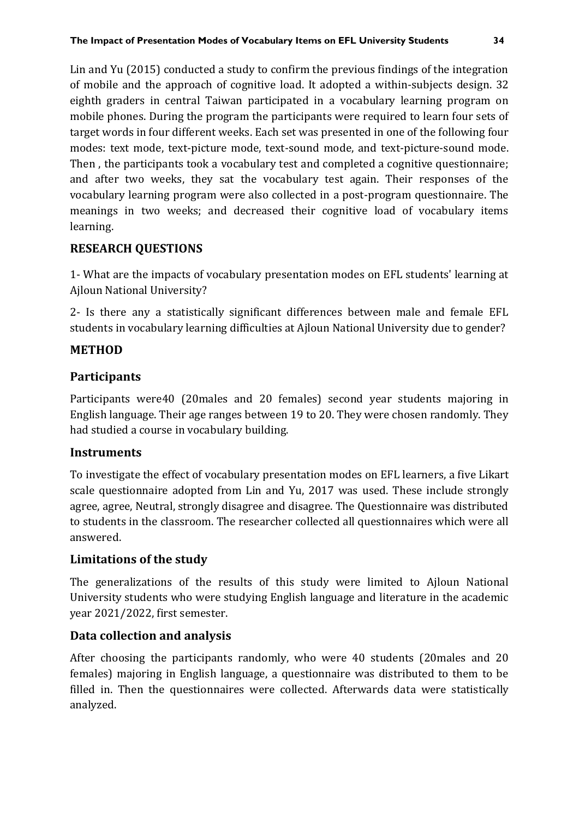Lin and Yu (2015) conducted a study to confirm the previous findings of the integration of mobile and the approach of cognitive load. It adopted a within-subjects design. 32 eighth graders in central Taiwan participated in a vocabulary learning program on mobile phones. During the program the participants were required to learn four sets of target words in four different weeks. Each set was presented in one of the following four modes: text mode, text-picture mode, text-sound mode, and text-picture-sound mode. Then , the participants took a vocabulary test and completed a cognitive questionnaire; and after two weeks, they sat the vocabulary test again. Their responses of the vocabulary learning program were also collected in a post-program questionnaire. The meanings in two weeks; and decreased their cognitive load of vocabulary items learning.

## **RESEARCH QUESTIONS**

1- What are the impacts of vocabulary presentation modes on EFL students' learning at Ajloun National University?

2- Is there any a statistically significant differences between male and female EFL students in vocabulary learning difficulties at Ajloun National University due to gender?

#### **METHOD**

## **Participants**

Participants were40 (20males and 20 females) second year students majoring in English language. Their age ranges between 19 to 20. They were chosen randomly. They had studied a course in vocabulary building.

#### **Instruments**

To investigate the effect of vocabulary presentation modes on EFL learners, a five Likart scale questionnaire adopted from Lin and Yu, 2017 was used. These include strongly agree, agree, Neutral, strongly disagree and disagree. The Questionnaire was distributed to students in the classroom. The researcher collected all questionnaires which were all answered.

#### **Limitations of the study**

The generalizations of the results of this study were limited to Ajloun National University students who were studying English language and literature in the academic year 2021/2022, first semester.

#### **Data collection and analysis**

After choosing the participants randomly, who were 40 students (20males and 20 females) majoring in English language, a questionnaire was distributed to them to be filled in. Then the questionnaires were collected. Afterwards data were statistically analyzed.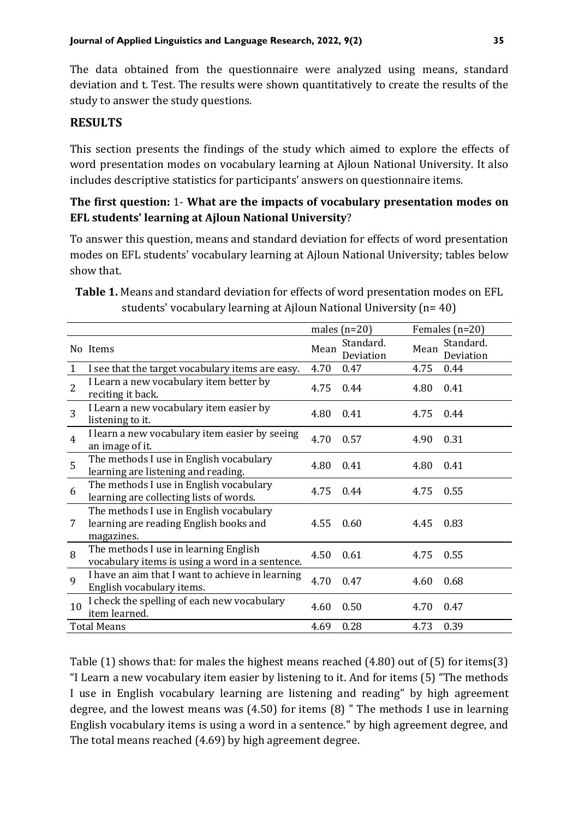The data obtained from the questionnaire were analyzed using means, standard deviation and t. Test. The results were shown quantitatively to create the results of the study to answer the study questions.

#### **RESULTS**

This section presents the findings of the study which aimed to explore the effects of word presentation modes on vocabulary learning at Ajloun National University. It also includes descriptive statistics for participants' answers on questionnaire items.

#### **The first question:** 1- **What are the impacts of vocabulary presentation modes on EFL students' learning at Ajloun National University**?

To answer this question, means and standard deviation for effects of word presentation modes on EFL students' vocabulary learning at Ajloun National University; tables below show that.

|                    |                                                                                                 |      | males $(n=20)$         |      | Females $(n=20)$       |
|--------------------|-------------------------------------------------------------------------------------------------|------|------------------------|------|------------------------|
|                    | No Items                                                                                        | Mean | Standard.<br>Deviation | Mean | Standard.<br>Deviation |
| 1                  | I see that the target vocabulary items are easy.                                                | 4.70 | 0.47                   | 4.75 | 0.44                   |
| $\overline{2}$     | I Learn a new vocabulary item better by<br>reciting it back.                                    | 4.75 | 0.44                   | 4.80 | 0.41                   |
| 3                  | I Learn a new vocabulary item easier by<br>listening to it.                                     | 4.80 | 0.41                   | 4.75 | 0.44                   |
| $\overline{4}$     | I learn a new vocabulary item easier by seeing<br>an image of it.                               | 4.70 | 0.57                   | 4.90 | 0.31                   |
| 5                  | The methods I use in English vocabulary<br>learning are listening and reading.                  | 4.80 | 0.41                   | 4.80 | 0.41                   |
| 6                  | The methods I use in English vocabulary<br>learning are collecting lists of words.              | 4.75 | 0.44                   | 4.75 | 0.55                   |
| 7                  | The methods I use in English vocabulary<br>learning are reading English books and<br>magazines. | 4.55 | 0.60                   | 4.45 | 0.83                   |
| 8                  | The methods I use in learning English<br>vocabulary items is using a word in a sentence.        | 4.50 | 0.61                   | 4.75 | 0.55                   |
| 9                  | I have an aim that I want to achieve in learning<br>English vocabulary items.                   | 4.70 | 0.47                   | 4.60 | 0.68                   |
| 10                 | I check the spelling of each new vocabulary<br>item learned.                                    | 4.60 | 0.50                   | 4.70 | 0.47                   |
| <b>Total Means</b> |                                                                                                 | 4.69 | 0.28                   | 4.73 | 0.39                   |

**Table 1.** Means and standard deviation for effects of word presentation modes on EFL students' vocabulary learning at Ajloun National University (n= 40)

Table (1) shows that: for males the highest means reached (4.80) out of (5) for items(3) "I Learn a new vocabulary item easier by listening to it. And for items (5) "The methods I use in English vocabulary learning are listening and reading" by high agreement degree, and the lowest means was (4.50) for items (8) " The methods I use in learning English vocabulary items is using a word in a sentence." by high agreement degree, and The total means reached (4.69) by high agreement degree.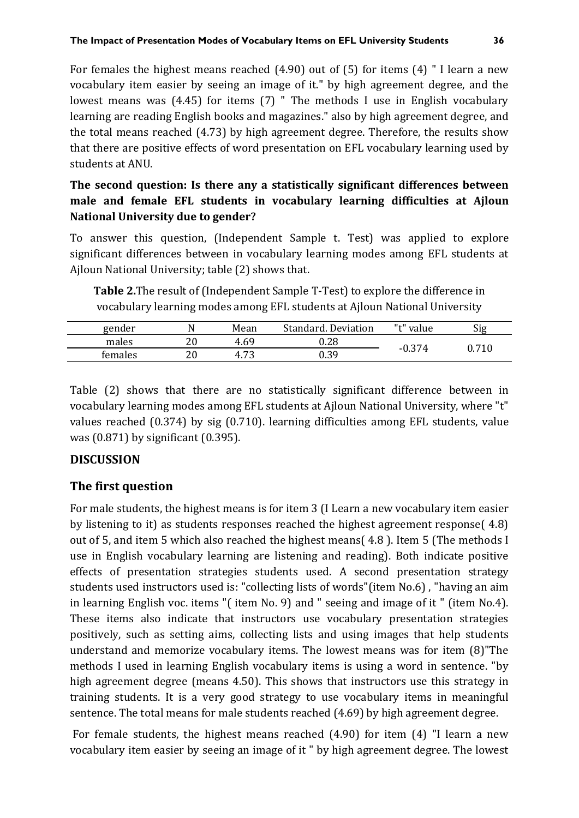For females the highest means reached (4.90) out of (5) for items (4) " I learn a new vocabulary item easier by seeing an image of it." by high agreement degree, and the lowest means was (4.45) for items (7) " The methods I use in English vocabulary learning are reading English books and magazines." also by high agreement degree, and the total means reached (4.73) by high agreement degree. Therefore, the results show that there are positive effects of word presentation on EFL vocabulary learning used by students at ANU.

## **The second question: Is there any a statistically significant differences between male and female EFL students in vocabulary learning difficulties at Ajloun National University due to gender?**

To answer this question, (Independent Sample t. Test) was applied to explore significant differences between in vocabulary learning modes among EFL students at Ajloun National University; table (2) shows that.

**Table 2.**The result of (Independent Sample T-Test) to explore the difference in vocabulary learning modes among EFL students at Ajloun National University

| gender  |            | Mean        | Standard. Deviation | " <sup>+</sup> " value | Sig        |
|---------|------------|-------------|---------------------|------------------------|------------|
| males   | ח ר<br>2 U | 4.69        | $0.28\,$            |                        |            |
| females | ንስ<br>2 U  | ר ד<br>4.75 | 0.39                | $-0.374$               | ${ 0.710}$ |

Table (2) shows that there are no statistically significant difference between in vocabulary learning modes among EFL students at Ajloun National University, where "t" values reached (0.374) by sig (0.710). learning difficulties among EFL students, value was (0.871) by significant (0.395).

#### **DISCUSSION**

#### **The first question**

For male students, the highest means is for item 3 (I Learn a new vocabulary item easier by listening to it) as students responses reached the highest agreement response( 4.8) out of 5, and item 5 which also reached the highest means( 4.8 ). Item 5 (The methods I use in English vocabulary learning are listening and reading). Both indicate positive effects of presentation strategies students used. A second presentation strategy students used instructors used is: "collecting lists of words"(item No.6) , "having an aim in learning English voc. items "( item No. 9) and " seeing and image of it " (item No.4). These items also indicate that instructors use vocabulary presentation strategies positively, such as setting aims, collecting lists and using images that help students understand and memorize vocabulary items. The lowest means was for item (8)"The methods I used in learning English vocabulary items is using a word in sentence. "by high agreement degree (means 4.50). This shows that instructors use this strategy in training students. It is a very good strategy to use vocabulary items in meaningful sentence. The total means for male students reached (4.69) by high agreement degree.

For female students, the highest means reached (4.90) for item (4) "I learn a new vocabulary item easier by seeing an image of it " by high agreement degree. The lowest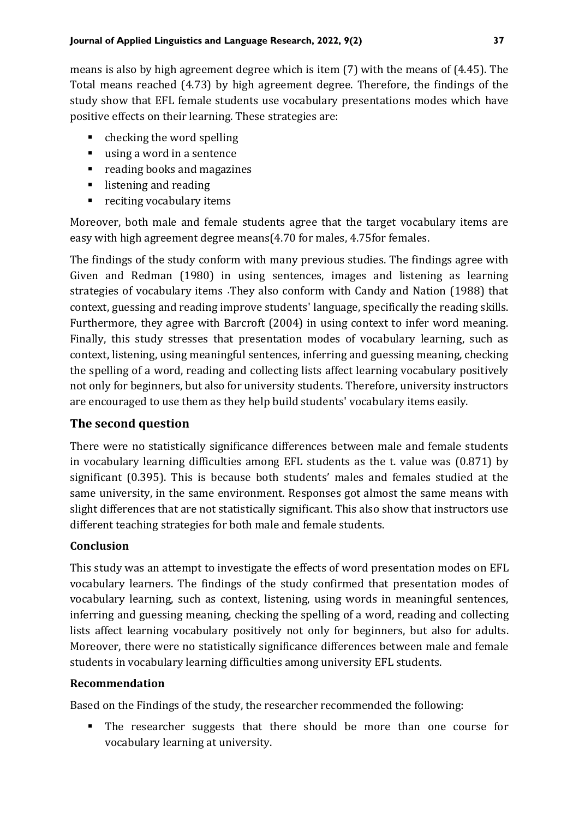means is also by high agreement degree which is item (7) with the means of (4.45). The Total means reached (4.73) by high agreement degree. Therefore, the findings of the study show that EFL female students use vocabulary presentations modes which have positive effects on their learning. These strategies are:

- $\blacksquare$  checking the word spelling
- using a word in a sentence
- reading books and magazines
- listening and reading
- reciting vocabulary items

Moreover, both male and female students agree that the target vocabulary items are easy with high agreement degree means(4.70 for males, 4.75for females.

The findings of the study conform with many previous studies. The findings agree with Given and Redman (1980) in using sentences, images and listening as learning strategies of vocabulary items .They also conform with Candy and Nation (1988) that context, guessing and reading improve students' language, specifically the reading skills. Furthermore, they agree with Barcroft (2004) in using context to infer word meaning. Finally, this study stresses that presentation modes of vocabulary learning, such as context, listening, using meaningful sentences, inferring and guessing meaning, checking the spelling of a word, reading and collecting lists affect learning vocabulary positively not only for beginners, but also for university students. Therefore, university instructors are encouraged to use them as they help build students' vocabulary items easily.

#### **The second question**

There were no statistically significance differences between male and female students in vocabulary learning difficulties among EFL students as the t. value was (0.871) by significant (0.395). This is because both students' males and females studied at the same university, in the same environment. Responses got almost the same means with slight differences that are not statistically significant. This also show that instructors use different teaching strategies for both male and female students.

#### **Conclusion**

This study was an attempt to investigate the effects of word presentation modes on EFL vocabulary learners. The findings of the study confirmed that presentation modes of vocabulary learning, such as context, listening, using words in meaningful sentences, inferring and guessing meaning, checking the spelling of a word, reading and collecting lists affect learning vocabulary positively not only for beginners, but also for adults. Moreover, there were no statistically significance differences between male and female students in vocabulary learning difficulties among university EFL students.

#### **Recommendation**

Based on the Findings of the study, the researcher recommended the following:

▪ The researcher suggests that there should be more than one course for vocabulary learning at university.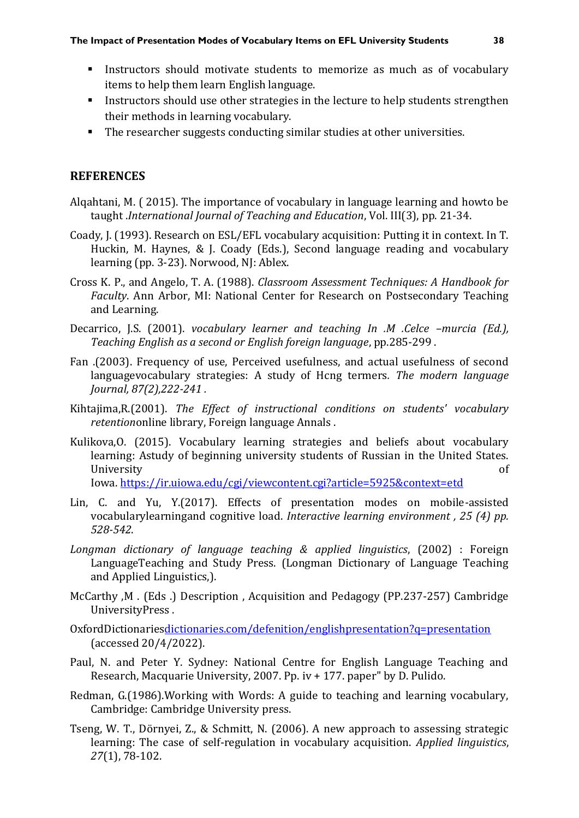- **EXECUTE:** Instructors should motivate students to memorize as much as of vocabulary items to help them learn English language.
- **EXECT** Instructors should use other strategies in the lecture to help students strengthen their methods in learning vocabulary.
- The researcher suggests conducting similar studies at other universities.

### **REFERENCES**

- Alqahtani, M. ( 2015). The importance of vocabulary in language learning and howto be taught .*International Journal of Teaching and Education*, Vol. III(3), pp. 21-34.
- Coady, J. (1993). Research on ESL/EFL vocabulary acquisition: Putting it in context. In T. Huckin, M. Haynes, & J. Coady (Eds.), Second language reading and vocabulary learning (pp. 3-23). Norwood, NJ: Ablex.
- Cross K. P., and Angelo, T. A. (1988). *Classroom Assessment Techniques: A Handbook for Faculty*. Ann Arbor, MI: National Center for Research on Postsecondary Teaching and Learning.
- Decarrico, J.S. (2001). *vocabulary learner and teaching In .M .Celce –murcia (Ed.), Teaching English as a second or English foreign language*, pp.285-299 .
- Fan .(2003). Frequency of use, Perceived usefulness, and actual usefulness of second languagevocabulary strategies: A study of Hcng termers*. The modern language Journal, 87(2),222-241 .*
- Kihtajima,R.(2001). *The Effect of instructional conditions on students' vocabulary retention*online library, Foreign language Annals .
- Kulikova,O. (2015). Vocabulary learning strategies and beliefs about vocabulary learning: Astudy of beginning university students of Russian in the United States. University of

Iowa. <https://ir.uiowa.edu/cgi/viewcontent.cgi?article=5925&context=etd>

- Lin, C. and Yu, Y.(2017). Effects of presentation modes on mobile-assisted vocabularylearningand cognitive load. *Interactive learning environment , 25 (4) pp. 528-542*.
- *Longman dictionary of language teaching & applied linguistics*, (2002) : Foreign LanguageTeaching and Study Press. (Longman Dictionary of Language Teaching and Applied Linguistics,).
- McCarthy ,M . (Eds .) Description , Acquisition and Pedagogy (PP.237-257) Cambridge UniversityPress .
- OxfordDictionarie[sdictionaries.com/defenition/englishpresentation?q=presentation](http://www.oxfordictionaries.com/defenition/englishpresentation?q=presentation) (accessed 20/4/2022).
- Paul, N. and Peter Y. Sydney: National Centre for English Language Teaching and Research, Macquarie University, 2007. Pp. iv + 177. paper" by D. Pulido.
- Redman, G.(1986).Working with Words: A guide to teaching and learning vocabulary, Cambridge: Cambridge University press.
- Tseng, W. T., Dörnyei, Z., & Schmitt, N. (2006). A new approach to assessing strategic learning: The case of self-regulation in vocabulary acquisition. *Applied linguistics*, *27*(1), 78-102.